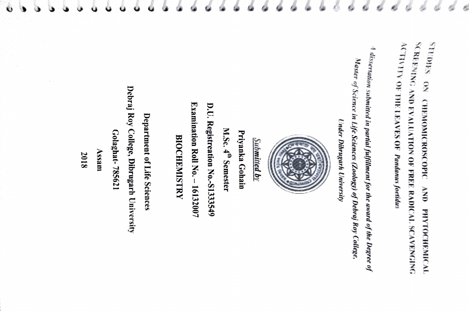**ACTIVITY OF THE LEAVES OF Pandamis foetidus** SCREENING AND EVALUATION OF FREE RADICAL SCAVENGING<br>ACTELLING AND EVALUATION OF FREE RADICAL SCAVENGING NO SHIORES REENING AND EVALUATION OF FREE RADICALL SCAVENGING STUDIES ON CHEMOMOROSCOPIC AND PHYTOCHEMICAL ACTIVITY OF HE LEAVES OF Pandanus foetidus CHRMOMICROSCOPIC  $\sum_{i=1}^{n}$ **PHYTOCHEMICAL** 

 $^{A}$  dissertation submitted in partial fulfillment for the award of the Degree of usseation submited in partial fulfilment for the award of the Deyree of Master of Science in Life Sciences (Zoology) of Debraj Roy College, aster of Science in Life Sciences (Zoology) of Debraj Roy College

Under Dibrugarh **Under Dibrugarh University** 



Submitted by

Priyanka Gohain Priyanka Gohain

M.Sc. 4<sup>th</sup> Semester  $M.Sc.$  4" Semester

Examination Roll No. - 16132007 **Examination Roll No. -**D.U. Registreation No.-S1333549 D.U. Registreation No.-S133349 16132007

**BIOCHEMISTRY** BIOCHEMISTRY

Debraj Roy College, Dibrugarh University Debraj Roy College, Dibrugarh University Department of Life Sciences Department of Life Sciences Golaghat-785621 Golaghat- 785621

2018

Assam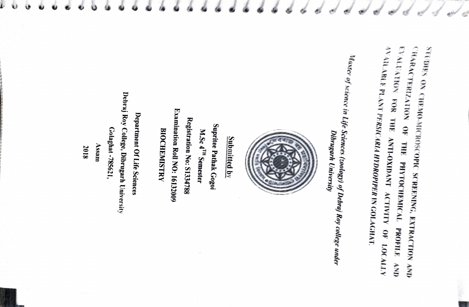SUES ON CHEMO-MICROSCOPIC SCREENING, EXTRACTION AND RARACTERIZATION OF THE PHYToCHEMICAL PROFIULE AND ALUATION FOR THE ANTI-OXIDANT ACTIVITY OF 10CALIY AVALARiE PLANT PERSICARIA HYDROPIPER IN GOILAGHAT

Aster of science in Life Sciences (zoology) of Debraj Roy college under Dibrugarh University Dibrugarh University



Submitted by

Examination Roll NO: 16132009 Examination Roll NO: 16132009 Registration No: S1334788 Registration No: S1334788 **Supritee Pathak Gogoi** Supritee Pathak Gogoi **BIOCHEMISTRY** M.Sc 4<sup>TH</sup> Semester BIOCHEMISTRY M.Sc 4<sup>1</sup>" Semester

Debraj Roy College, Dibrugarh University Debraj Roy College, Dibrugarh University Department Of Life Sciences Department Of Life Sciences Golaghat-785621, Golaghat-785621,

Assam 2018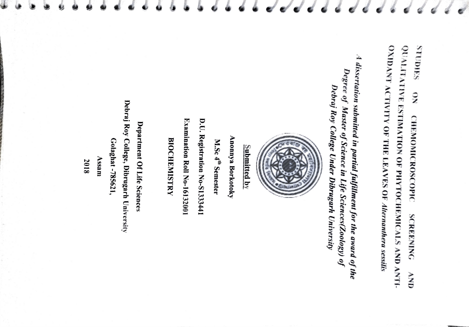OXIDANT ACTIVITY OF THE LEAVES OF Alternanthera sessilis QUALITATIVE ESTIMATION OF PHYTOCHEMICALS AND ANTI-<br>OYMIANTA SHOURS QUALITATIVE ESTIMATION OF PHYTOCHEMICALS AND ANT OXIDANT ACTIVITY OF THE LEAVES OF Alternanthera sessilis STUDIES ON CHEMOMICROSCOPIC SCREENING AND  $\widetilde{\mathsf{z}}$ **CHEMOMICROSCOPIC SCREENING** MN

 $A$  dissertation submitted in partial fulfillment for the award of the  $\sum_{n=1}^{\infty}$ <sup>4</sup> dissertation submitted in partial fulfillment for the award of the Degree of Master of Science in Life Sciences(Zoology) of<br>Degree of Master of Science in Life Sciences(Zoology) of<br>Debraj Roy College Under Dibrugarh Un Degree of Master of Science in Life Sciences(Zoology) of Debraj Roy College Under Dibrugarh University



Submitted by

Anonnya Borkotoky Anonnya Borkotoky

M.Sc 4<sup>th</sup> Semester M.Sc  $4"$  Semester

D.U. Registration No-S1333441 D.U. Registration No-S1333441

Examination Roll No-16132001 Examination Roll No-16132001

**BIOCHEMISTRY** BIOCHEMISTRY

Debraj Roy College, Dibrugarh University Debraj Roy College, Dibrugarh University Department Of Life Sciences Department Of Life Sciences Golaghat-785621, Golaghat-785621,

Assam

2018